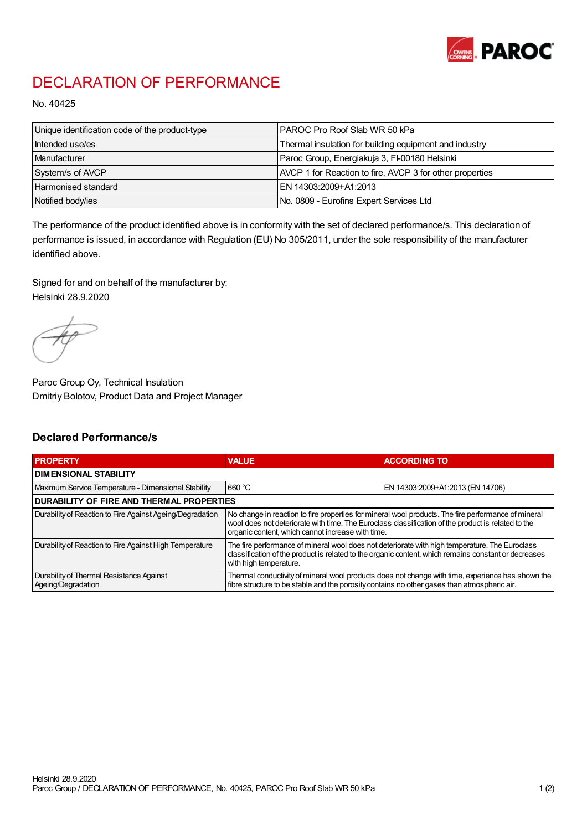

## DECLARATION OF PERFORMANCE

No. 40425

| Unique identification code of the product-type | IPAROC Pro Roof Slab WR 50 kPa                           |
|------------------------------------------------|----------------------------------------------------------|
| Intended use/es                                | Thermal insulation for building equipment and industry   |
| Manufacturer                                   | Paroc Group, Energiakuja 3, FI-00180 Helsinki            |
| System/s of AVCP                               | AVCP 1 for Reaction to fire, AVCP 3 for other properties |
| Harmonised standard                            | IEN 14303:2009+A1:2013                                   |
| Notified body/ies                              | No. 0809 - Eurofins Expert Services Ltd                  |

The performance of the product identified above is in conformity with the set of declared performance/s. This declaration of performance is issued, in accordance with Regulation (EU) No 305/2011, under the sole responsibility of the manufacturer identified above.

Signed for and on behalf of the manufacturer by: Helsinki 28.9.2020

Paroc Group Oy, Technical Insulation Dmitriy Bolotov, Product Data and Project Manager

## Declared Performance/s

| <b>PROPERTY</b>                                                | <b>VALUE</b>                                                                                                                                                                                                                                                   | <b>ACCORDING TO</b>              |  |
|----------------------------------------------------------------|----------------------------------------------------------------------------------------------------------------------------------------------------------------------------------------------------------------------------------------------------------------|----------------------------------|--|
| <b>DIMENSIONAL STABILITY</b>                                   |                                                                                                                                                                                                                                                                |                                  |  |
| Maximum Service Temperature - Dimensional Stability            | 660 °C                                                                                                                                                                                                                                                         | EN 14303:2009+A1:2013 (EN 14706) |  |
| <b>DURABILITY OF FIRE AND THERMAL PROPERTIES</b>               |                                                                                                                                                                                                                                                                |                                  |  |
| Durability of Reaction to Fire Against Ageing/Degradation      | No change in reaction to fire properties for mineral wool products. The fire performance of mineral<br>wool does not deteriorate with time. The Euroclass classification of the product is related to the<br>organic content, which cannot increase with time. |                                  |  |
| Durability of Reaction to Fire Against High Temperature        | The fire performance of mineral wool does not deteriorate with high temperature. The Euroclass<br>classification of the product is related to the organic content, which remains constant or decreases<br>with high temperature.                               |                                  |  |
| Durability of Thermal Resistance Against<br>Ageing/Degradation | Thermal conductivity of mineral wool products does not change with time, experience has shown the<br>fibre structure to be stable and the porosity contains no other gases than atmospheric air.                                                               |                                  |  |